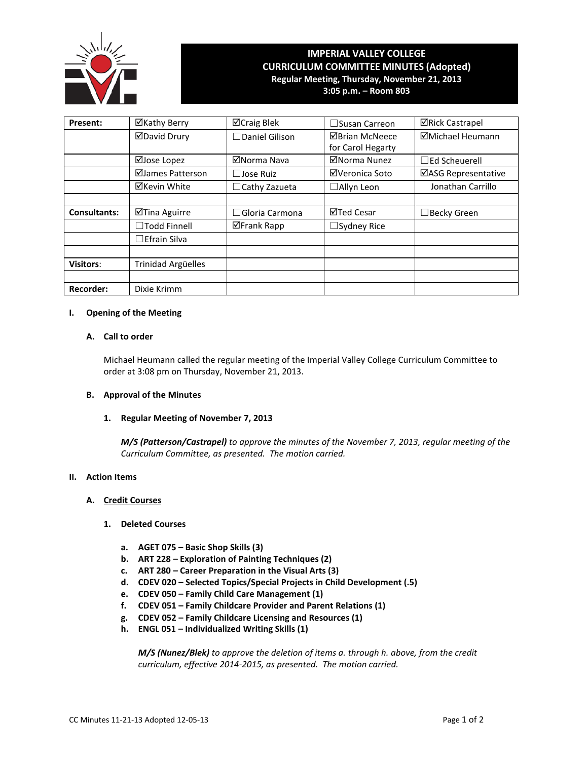

# **IMPERIAL VALLEY COLLEGE CURRICULUM COMMITTEE MINUTES (Adopted) Regular Meeting, Thursday, November 21, 2013**

**3:05 p.m. – Room 803**

| Present:            | ⊠Kathy Berry        | <b>⊠Craig Blek</b>    | $\Box$ Susan Carreon  | <b>⊠Rick Castrapel</b> |
|---------------------|---------------------|-----------------------|-----------------------|------------------------|
|                     | <b>ØDavid Drury</b> | $\Box$ Daniel Gilison | <b>⊠Brian McNeece</b> | ⊠Michael Heumann       |
|                     |                     |                       | for Carol Hegarty     |                        |
|                     | ⊠Jose Lopez         | ⊠Norma Nava           | ⊠Norma Nunez          | $\Box$ Ed Scheuerell   |
|                     | ⊠James Patterson    | $\Box$ Jose Ruiz      | ⊠Veronica Soto        | ⊠ASG Representative    |
|                     | ⊠Kevin White        | $\Box$ Cathy Zazueta  | $\Box$ Allyn Leon     | Jonathan Carrillo      |
|                     |                     |                       |                       |                        |
| <b>Consultants:</b> | ⊠Tina Aguirre       | $\Box$ Gloria Carmona | ⊠Ted Cesar            | $\Box$ Becky Green     |
|                     | $\Box$ Todd Finnell | ⊠Frank Rapp           | $\Box$ Sydney Rice    |                        |
|                     | $\Box$ Efrain Silva |                       |                       |                        |
|                     |                     |                       |                       |                        |
| <b>Visitors:</b>    | Trinidad Argüelles  |                       |                       |                        |
|                     |                     |                       |                       |                        |
| Recorder:           | Dixie Krimm         |                       |                       |                        |

## **I. Opening of the Meeting**

## **A. Call to order**

Michael Heumann called the regular meeting of the Imperial Valley College Curriculum Committee to order at 3:08 pm on Thursday, November 21, 2013.

## **B. Approval of the Minutes**

## **1. Regular Meeting of November 7, 2013**

*M/S (Patterson/Castrapel) to approve the minutes of the November 7, 2013, regular meeting of the Curriculum Committee, as presented. The motion carried.*

## **II. Action Items**

## **A. Credit Courses**

## **1. Deleted Courses**

- **a. AGET 075 – Basic Shop Skills (3)**
- **b. ART 228 – Exploration of Painting Techniques (2)**
- **c. ART 280 – Career Preparation in the Visual Arts (3)**
- **d. CDEV 020 – Selected Topics/Special Projects in Child Development (.5)**
- **e. CDEV 050 – Family Child Care Management (1)**
- **f. CDEV 051 – Family Childcare Provider and Parent Relations (1)**
- **g. CDEV 052 – Family Childcare Licensing and Resources (1)**
- **h. ENGL 051 – Individualized Writing Skills (1)**

*M/S (Nunez/Blek) to approve the deletion of items a. through h. above, from the credit curriculum, effective 2014-2015, as presented. The motion carried.*